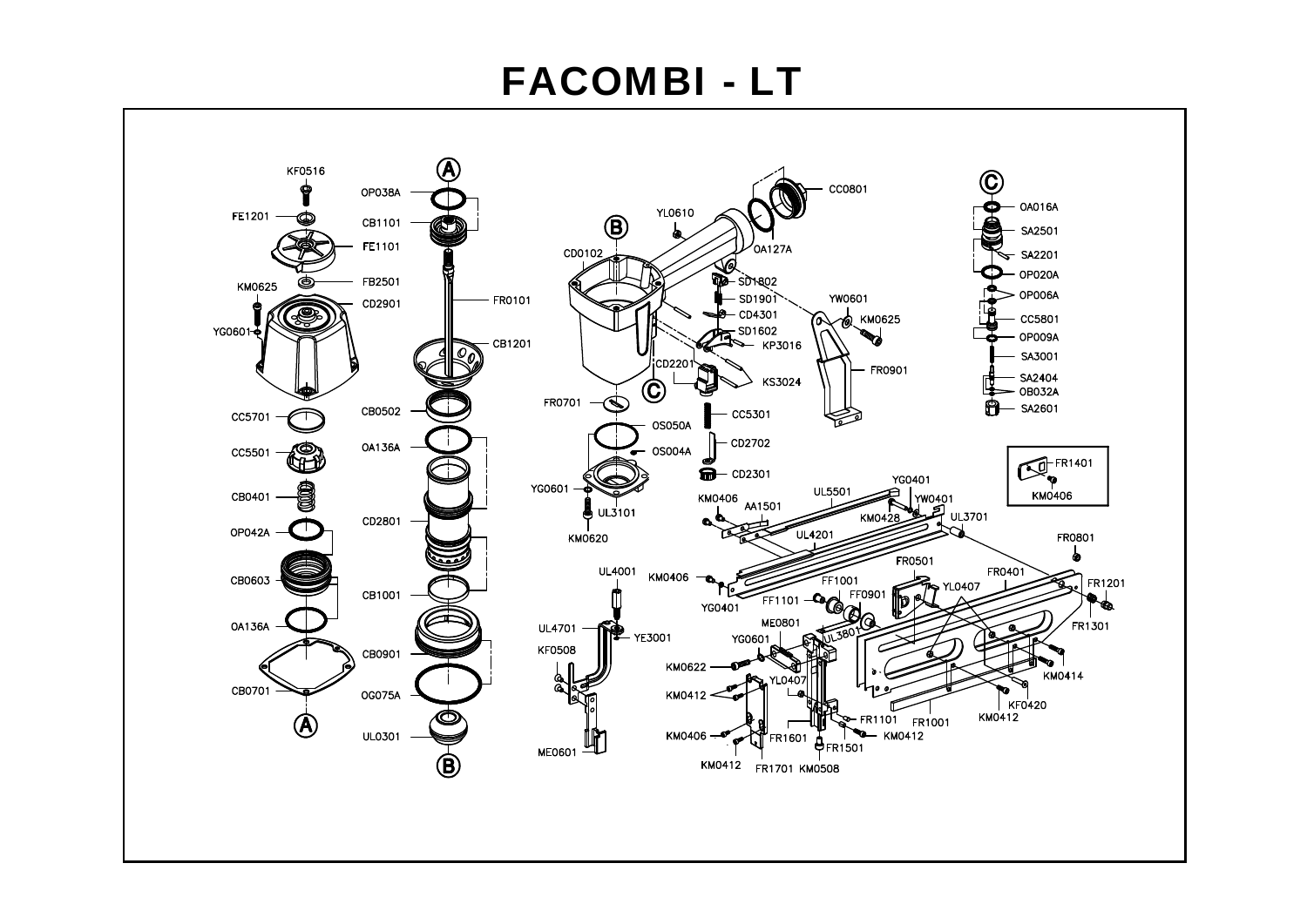## **FACOMBI - LT**

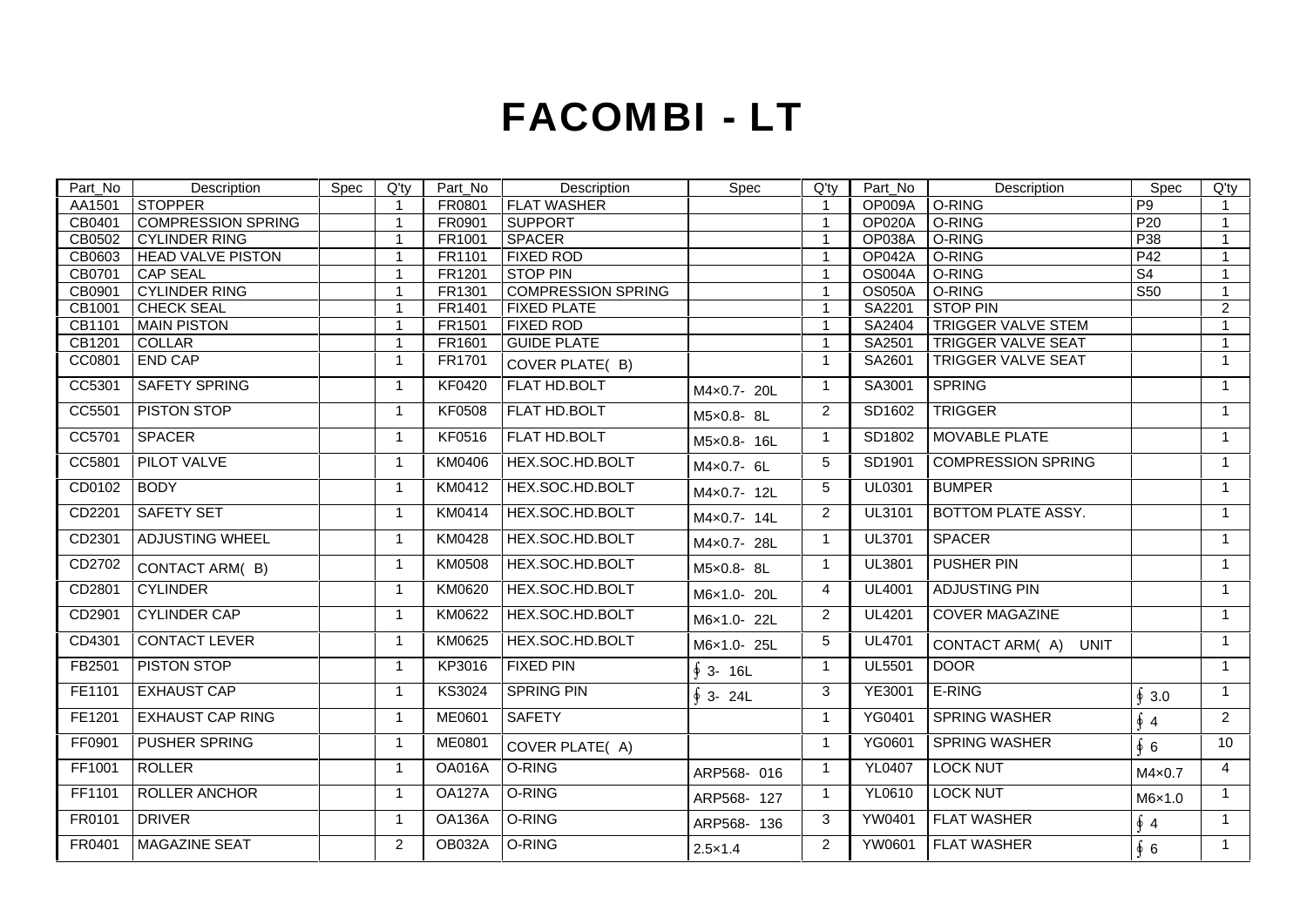## **FACOMBI - LT**

|                               | Description                                                                                                                                                         |                  | Description                                                                                        | Spec             | Description                                                                       | $\begin{array}{c c}\n\text{Spec} & \text{Q'ty} \\ \hline\n\text{P9} & 1\n\end{array}$ |
|-------------------------------|---------------------------------------------------------------------------------------------------------------------------------------------------------------------|------------------|----------------------------------------------------------------------------------------------------|------------------|-----------------------------------------------------------------------------------|---------------------------------------------------------------------------------------|
| Part_No Des<br>AA1501 STOPPER |                                                                                                                                                                     |                  | Spec Q'ty Part_No Description                                                                      |                  | Q'ty Part_No<br>1 OP009A O-RING                                                   |                                                                                       |
|                               | CB0401 COMPRESSION SPRING                                                                                                                                           |                  |                                                                                                    |                  |                                                                                   | P20<br>$\blacksquare$ 1                                                               |
|                               | CB0401 COMMITMEDICTLY MANUSCRIPS<br>CB0603 HEAD VALVE PISTON<br>CB0701 CAP SEAL<br>CB0901 CYLINDER RING<br>CB1001 CHECK SEAL<br>CB1101 MAIN PISTON<br>CB1201 COLLAR |                  | FRO901 SUPPORT<br>FR1001 SPACER<br>FR101 FIXED ROD<br>FR1201 STOP PIN<br>FR1301 COMPRESSION SPRING |                  | OP020A O-RING<br>OP038A O-RING<br>OP042A O-RING<br>OS004A O-RING<br>OS050A O-RING | $\overline{P}$ $\overline{P}$ $\overline{38}$ $\overline{1}$                          |
|                               |                                                                                                                                                                     |                  |                                                                                                    |                  |                                                                                   | $\frac{1}{P42}$                                                                       |
|                               |                                                                                                                                                                     |                  |                                                                                                    |                  |                                                                                   |                                                                                       |
|                               |                                                                                                                                                                     |                  |                                                                                                    |                  |                                                                                   | S <sub>50</sub>                                                                       |
|                               |                                                                                                                                                                     |                  | FR1401 FIXED PLATE                                                                                 |                  | SA2201 STOP PIN                                                                   | ╺╾                                                                                    |
|                               |                                                                                                                                                                     |                  |                                                                                                    |                  | <b>TRIGGER VALVE STEM</b><br>SA2404<br>SA2501                                     |                                                                                       |
|                               |                                                                                                                                                                     |                  |                                                                                                    |                  | TRIGGER VALVE SEAT                                                                |                                                                                       |
| CC0801 END CAP                |                                                                                                                                                                     |                  | FR1501 FIXED ROD<br>FR1601 GUIDE PLATE<br>FR1701 COVER PLATE(B)                                    |                  | SA2601 TRIGGER VALVE SEAT                                                         |                                                                                       |
|                               | CC5301 SAFETY SPRING                                                                                                                                                |                  | KF0420   FLAT HD.BOLT                                                                              | M4×0.7- 20L      | SA3001 SPRING                                                                     |                                                                                       |
|                               | CC5501 PISTON STOP                                                                                                                                                  |                  | KF0508   FLAT HD.BOLT                                                                              | M5×0.8-8L        | SD1602 TRIGGER                                                                    |                                                                                       |
| CC5701 SPACER                 |                                                                                                                                                                     |                  | KF0516 FLAT HD.BOLT                                                                                | M5×0.8- 16L      | SD1802 MOVABLE PLATE                                                              |                                                                                       |
|                               | CC5801 PILOT VALVE                                                                                                                                                  |                  | KM0406 HEX.SOC.HD.BOLT                                                                             | M4×0.7- 6L       | SD1901 COMPRESSION SPRING                                                         |                                                                                       |
| CD0102 BODY                   |                                                                                                                                                                     |                  | KM0412 HEX.SOC.HD.BOLT                                                                             | M4×0.7- 12L      | UL0301 BUMPER                                                                     |                                                                                       |
|                               | CD2201 SAFETY SET                                                                                                                                                   |                  | KM0414 HEX.SOC.HD.BOLT                                                                             | M4x0.7- 14L      | UL3101   BOTTOM PLATE ASSY.                                                       |                                                                                       |
|                               | CD2301 ADJUSTING WHEEL                                                                                                                                              |                  | KM0428 HEX.SOC.HD.BOLT                                                                             | M4×0.7- 28L      | UL3701 SPACER                                                                     |                                                                                       |
|                               | CD2702 CONTACT ARM(B)                                                                                                                                               |                  | KM0508 HEX.SOC.HD.BOLT                                                                             | M5×0.8- 8L       | UL3801 PUSHER PIN                                                                 |                                                                                       |
|                               | CD2801 CYLINDER                                                                                                                                                     |                  | KM0620 HEX.SOC.HD.BOLT                                                                             | M6×1.0- 20L      | UL4001 ADJUSTING PIN                                                              |                                                                                       |
|                               | CD2901 CYLINDER CAP                                                                                                                                                 |                  | KM0622 HEX.SOC.HD.BOLT                                                                             | M6×1.0-22L       | UL4201 COVER MAGAZINE                                                             |                                                                                       |
|                               | CD4301 CONTACT LEVER                                                                                                                                                |                  | KM0625 HEX.SOC.HD.BOLT                                                                             | M6×1.0- 25L      | UL4701 CONTACT ARM(A) UNIT                                                        |                                                                                       |
|                               | FB2501 PISTON STOP                                                                                                                                                  | KP3016 FIXED PIN |                                                                                                    | ∮ 3- 16L         | DOOR<br><b>UL5501</b>                                                             |                                                                                       |
|                               | FE1101 EXHAUST CAP                                                                                                                                                  |                  | KS3024 SPRING PIN                                                                                  | ∮ 3- 24L         | YE3001 E-RING                                                                     | $\oint 3.0$                                                                           |
|                               | FE1201 EXHAUST CAP RING                                                                                                                                             | ME0601 SAFETY    |                                                                                                    |                  | YG0401 SPRING WASHER                                                              | $\oint$ 4                                                                             |
|                               | FF0901 PUSHER SPRING                                                                                                                                                |                  | ME0801 COVER PLATE(A)                                                                              |                  | YG0601 SPRING WASHER                                                              | $\overline{1}$ 10<br><u>iyo maso ay isang pa</u><br>66                                |
| FF1001 ROLLER                 |                                                                                                                                                                     | OA016A O-RING    |                                                                                                    | ARP568-016       | YL0407   LOCK NUT                                                                 | $M4\times0.7$<br>-4                                                                   |
|                               | FF1101 ROLLER ANCHOR                                                                                                                                                | OA127A O-RING    |                                                                                                    | ARP568- 127      | YL0610   LOCK NUT                                                                 | M6×1.0                                                                                |
| FR0101 DRIVER                 |                                                                                                                                                                     | OA136A O-RING    |                                                                                                    | ARP568-136       | YW0401 FLAT WASHER                                                                | $\oint 4$                                                                             |
|                               | FR0401 MAGAZINE SEAT                                                                                                                                                | OB032A O-RING    |                                                                                                    | $2.5 \times 1.4$ | YW0601 FLAT WASHER                                                                | $\overline{1}$ 1<br>$\oint$ 6                                                         |
|                               |                                                                                                                                                                     |                  |                                                                                                    |                  |                                                                                   |                                                                                       |